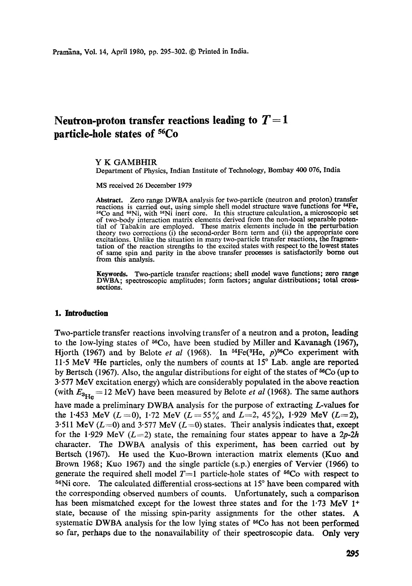# Neutron-proton transfer reactions leading to  $T = 1$ **particle-hole states of 56Co**

### **Y K** GAMBHIR

Department of Physics, Indian Institute of Technology, Bombay 400 076, India

MS received 26 December 1979

**Abstract.** Zero range DWBA analysis for two-particle (neutron and proton) transfer reactions is carried out, using simple shell model structure wave functions for <sup>54</sup>Fe, <sup>56</sup>Co and <sup>58</sup>Ni, with <sup>56</sup>Ni inert core. In this structure calculation, a microscopic set of two-body interaction matrix elements derived from the non-local separable poten-tial of Tabakin are employed. These matrix elements include in the perturbation theory two corrections (i) the second-order Born term and (ii) the appropriate core excitations. Unlike the situation in many two-particle transfer reactions, the fragmentation of the reaction strengths to the excited states with respect to the lowest **states**  of same spin and parity in the above transfer processes is satisfactorily borne **out**  from this analysis.

**Keywords.** Two-particle transfer reactions; shell model wave functions; zero range DWBA; spectroscopic amplitudes; form factors; angular distributions; **total crosssections.** 

## **1. Introduction**

Two-particle transfer reactions involving transfer of a neutron and a proton, leading to the low-lying states of  ${}^{56}Co$ , have been studied by Miller and Kavanagh (1967), Hjorth (1967) and by Belote *et al* (1968). In  ${}^{54}Fe({}^{3}He, p){}^{56}Co$  experiment with 11.5 MeV  ${}^{3}$ He particles, only the numbers of counts at 15 ${}^{\circ}$  Lab. angle are reported by Bertsch (1967). Also, the angular distributions for eight of the states of 56Co (up to 3.577 MeV excitation energy) which are considerably populated in the above reaction (with  $E_{\rm 3He}$  = 12 MeV) have been measured by Belote *et al* (1968). The same authors have made a preliminary DWBA analysis for the purpose of extracting L-values for the 1.453 MeV  $(L=0)$ , 1.72 MeV  $(L=55\%$  and  $L=2$ , 45%, 1.929 MeV  $(L=2)$ , 3.511 MeV ( $L=0$ ) and 3.577 MeV ( $L=0$ ) states. Their analysis indicates that, except for the 1.929 MeV  $(L=2)$  state, the remaining four states appear to have a 2p-2h character. The DWBA analysis of this experiment, has been carried out by Bertsch (1967). He used the Kuo-Brown interaction matrix dements (Kuo and Brown 1968; Kuo 1967) and the single particle (s.p.) energies of Vervier (1966) to generate the required shell model  $T=1$  particle-hole states of <sup>56</sup>Co with respect to  $56$ Ni core. The calculated differential cross-sections at  $15^\circ$  have been compared with the corresponding observed numbers of counts. Unfortunately, such a comparison has been mismatched except for the lowest three states and for the  $1.73$  MeV  $1<sup>+</sup>$ state, because of the missing spin-parity assignments for the other states. A systematic DWBA analysis for the low lying states of  $^{56}Co$  has not been performed so far, perhaps due to the nonavailability of their spectroscopic data. Only **very**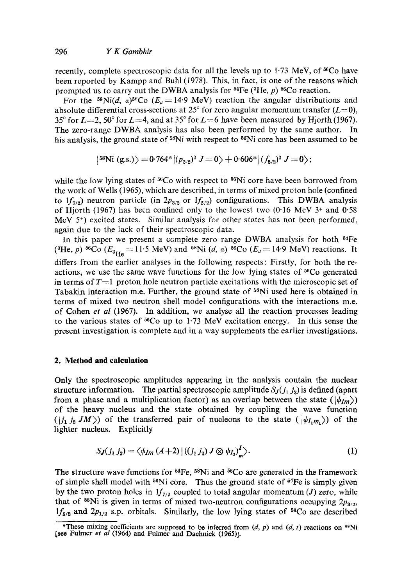recently, complete spectroscopic data for all the levels up to  $1.73$  MeV, of <sup>56</sup>Co have been reported by Kampp and Buhl (1978). This, in fact, is one of the reasons which prompted us to carry out the DWBA analysis for  $^{54}Fe$  ( $^{3}He$ , p)  $^{56}Co$  reaction.

For the <sup>58</sup>Ni(d, a)<sup>56</sup>Co ( $E_d$  = 14.9 MeV) reaction the angular distributions and absolute differential cross-sections at 25° for zero angular momentum transfer ( $L=0$ ), 35° for  $L=2$ , 50° for  $L=4$ , and at 35° for  $L=6$  have been measured by Hjorth (1967). The zero-range DWBA analysis has also been performed by the same author. In his analysis, the ground state of  $58$ Ni with respect to  $56$ Ni core has been assumed to be

$$
|^{58}\text{Ni (g.s.)}\rangle = 0.764*|(p_{3/2})^2 J = 0\rangle + 0.606*|(f_{5/2})^2 J = 0\rangle;
$$

while the low lying states of  $56Co$  with respect to  $56Ni$  core have been borrowed from the work of Wells (1965), which are described, in terms of mixed proton hole (confined to  $1f_{7/2}$ ) neutron particle (in  $2p_{3/2}$  or  $1f_{5/2}$ ) configurations. This DWBA analysis of Hjorth (1967) has been confined only to the lowest two (0.16 MeV  $3$ <sup>+</sup> and 0.58 MeV  $5<sup>+</sup>$ ) excited states. Similar analysis for other states has not been performed, again due to the lack of their spectroscopic data.

In this paper we present a complete zero range DWBA analysis for both <sup>54</sup>Fe (<sup>3</sup>He, p) <sup>56</sup>Co ( $E_{3_{\text{He}}} = 11.5 \text{ MeV}$ ) and <sup>58</sup>Ni (d, a) <sup>56</sup>Co ( $E_d = 14.9 \text{ MeV}$ ) reactions. It differs from the earlier analyses in the following respects: Firstly, for both the reactions, we use the same wave functions for the low lying states of <sup>56</sup>Co generated in terms of  $T=1$  proton hole neutron particle excitations with the microscopic set of Tabakin interaction m.e. Further, the ground state of  $58$ Ni used here is obtained in terms of mixed two neutron shell model configurations with the interactions m.e. of Cohen *et al* (1967). In addition, we analyse all the reaction processes leading to the various states of  $^{56}$ Co up to 1.73 MeV excitation energy. In this sense the present investigation is complete and in a way supplements the earlier investigations.

## **2. Method and calculation**

Only the spectroscopic amplitudes appearing in the analysis contain the nuclear structure information. The partial spectroscopic amplitude  $S_J(j_1, j_2)$  is defined (apart from a phase and a multiplication factor) as an overlap between the state ( $|\psi_{Im}\rangle$ ) of the heavy nucleus and the state obtained by coupling the wave function  $(|j_1 j_2 JM\rangle)$  of the transferred pair of nucleons to the state  $(|\psi_{I_1 m_1}\rangle)$  of the lighter nucleus. Explicitly

$$
SJ(j_1 j_2) = \langle \psi_{Im} (A+2) | ((j_1 j_2) J \otimes \psi_{I_1})_m^I \rangle. \tag{1}
$$

The structure wave functions for  $^{54}Fe$ ,  $^{58}Ni$  and  $^{56}Co$  are generated in the framework of simple shell model with 56Ni core. Thus the ground state of 54Fe is simply given by the two proton holes in  $1f_{7/2}$  coupled to total angular momentum (J) zero, while that of  $^{58}$ Ni is given in terms of mixed two-neutron configurations occupying  $2p_{3/2}$ ,  $1f_{5/2}$  and  $2p_{1/2}$  s.p. orbitals. Similarly, the low lying states of <sup>56</sup>Co are described

<sup>\*</sup>These mixing coefficients are supposed to be inferred from  $(d, p)$  and  $(d, t)$  reactions on <sup>88</sup>Ni [see Fulmer *et al* (1964) and Fulmer and Daehnick (1965)].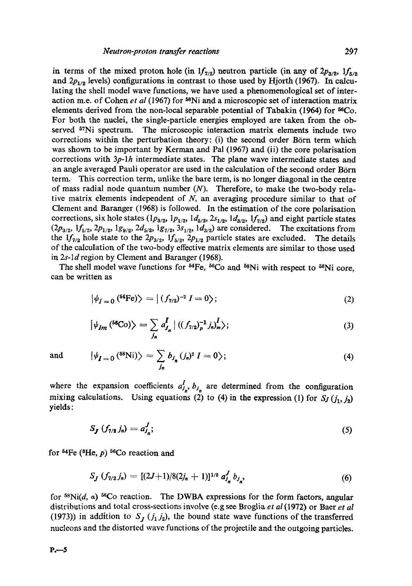in terms of the mixed proton hole (in  $1f_{7/2}$ ) neutron particle (in any of  $2p_{3/2}$ ,  $1f_{5/2}$ and  $2p_{1/2}$  levels) configurations in contrast to those used by Hjorth (1967). In calculating the shell model wave functions, we have used a phenomenological set of interaction m.e. of Cohen *et al* (1967) for <sup>58</sup>Ni and a microscopic set of interaction matrix elements derived from the non-local separable potential of Tabakin (1964) for  $^{56}Co$ . For both the nuclei, the single-particle energies employed are taken from the observed  $57\text{Ni}$  spectrum. The microscopic interaction matrix elements include two corrections within the perturbation theory: (i) the second order Börn term which was shown to be important by Kerman and Pal (1967) and (ii) the core polarisation corrections with *3p-lh* intermediate states. The plane wave intermediate states aaad an angle averaged Pauli operator are used in the calculation of the second order Börn term. This correction term, unlike the bare term, is no longer diagonal in the centre of mass radial node quantum number  $(N)$ . Therefore, to make the two-body relative matrix elements independent of  $N$ , an averaging procedure similar to that of Clement and Baranger (1968) is followed. In the estimation of the core polarisation corrections, six hole states ( $lp_{3/2}$ ,  $lp_{1/2}$ ,  $ld_{5/2}$ ,  $2s_{1/2}$ ,  $ld_{3/2}$ ,  $lf_{7/2}$ ) and eight particle states  $(2p_{3/2}, 1f_{5/2}, 2p_{1/2}, 1g_{9/2}, 2d_{5/2}, 1g_{7/2}, 3s_{1/2}, 1d_{3/2})$  are considered. The excitations from the  $1f_{7/2}$  hole state to the  $2p_{3/2}$ ,  $1f_{5/2}$ ,  $2p_{1/2}$  particle states are excluded. The details of the calculation of the two-body effective matrix elements are similar to those used in *2s-ld* region by Clement and Baranger (1968).

The shell model wave functions for  $^{54}Fe$ ,  $^{56}Co$  and  $^{58}Ni$  with respect to  $^{56}Ni$  core, can be written as

$$
\left|\psi_{I=0}\left(^{54}\text{Fe}\right)\right\rangle = \left|\left(f_{7/2}\right)^{-2} I = 0\right\rangle; \tag{2}
$$

$$
\left|\psi_{Im}\left(^{56}\text{Co}\right)\right\rangle = \sum_{j_n} a_{j_n}^I \left| \left((f_{7/2})_p^{-1} j_n\right)_{m}^I \right\rangle; \tag{3}
$$

and 
$$
|\psi_{I=0}^{\text{(58Ni)}}\rangle = \sum_{j_n} b_{j_n} (j_n)^2 I = 0 \rangle;
$$
 (4)

where the expansion coefficients  $a_{j_n}^f$ ,  $b_{j_n}$  are determined from the configuration mixing calculations. Using equations (2) to (4) in the expression (1) for  $S_J$   $(j_1, j_2)$ yields:

$$
S_{\bm{J}}\left(f_{7/2}\,j_n\right)=a_{J_n}^{\bm{J}};\tag{5}
$$

for  $^{54}Fe$  ( $^{3}He$ , p)  $^{56}Co$  reaction and

$$
S_J (f_{7/2} j_n) = [(2J+1)/8(2j_n+1)]^{1/2} a_{j_n}^J b_{j_n}, \qquad (6)
$$

for  $^{58}$ Ni(d, a)  $^{56}$ Co reaction. The DWBA expressions for the form factors, angular distributions and total cross-sections involve (e.g see Broglia *et al* (1972) or Baer *et al*  (1973)) in addition to  $S_j$  ( $j_1 j_2$ ), the bound state wave functions of the transferred nucleons and the distorted wave functions of the projectile and the outgoing particles.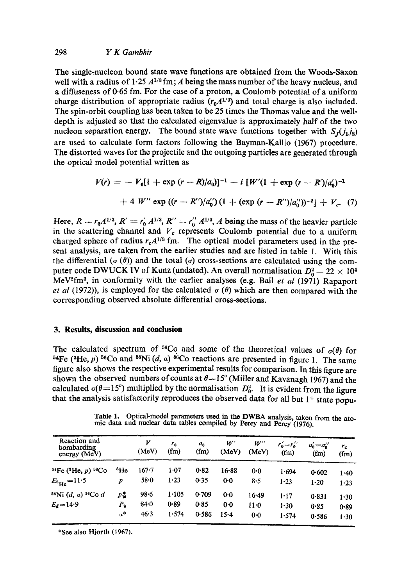# 298 *Y K Gambhlr*

The single-nucleon bound state wave functions are obtained from the Woods-Saxon well with a radius of  $1.25 \frac{A^{1/3} \text{fm}}{A}$  being the mass number of the heavy nucleus, and a diffuseness of 0"65 fm. For the case of a proton, a Coulomb potential of a uniform charge distribution of appropriate radius  $(r_0A^{1/3})$  and total charge is also included. The spin-orbit coupling has been taken to be 25 times the Thomas value and the welldepth is adjusted so that the calculated eigenvalue is approximately half of the two nucleon separation energy. The bound state wave functions together with  $S_1(j_1, j_2)$ are used to calculate form factors following the Bayman-Kallio (1967) procedure. The distorted waves for the projectile and the outgoing particles are generated through the optical model potential written as

$$
V(r) = -V_0[1 + \exp(r - R)/a_0]^{-1} - i [W'(1 + \exp(r - R')/a'_0)^{-1}
$$
  
+ 4 W'' \exp ((r - R'')/a'\_0) (1 + (\exp (r - R'')/a''\_0))^{-2}] + V\_c. (7)

Here,  $R = r_0 A^{1/3}$ ,  $R' = r'_0 A^{1/3}$ ,  $R'' = r''_0 A^{1/3}$ , A being the mass of the heavier particle in the scattering channel and  $V_c$  represents Coulomb potential due to a uniform charged sphere of radius  $r_cA^{1/3}$  fm. The optical model parameters used in the present analysis, are taken from the earlier studies and are listed in table 1. With this the differential ( $\sigma(\theta)$ ) and the total ( $\sigma$ ) cross-sections are calculated using the computer code DWUCK IV of Kunz (undated). An overall normalisation  $D_0^2 = 22 \times 10^4$ MeV2fm 3, in conformity with the earlier analyses (e.g. Bali *et al* (1971) Rapaport *et al* (1972)), is employed for the calculated  $\sigma$  ( $\theta$ ) which are then compared with the corresponding observed absolute differential cross-sections.

## **3. Results, discussion and conclusion**

The calculated spectrum of <sup>56</sup>Co and some of the theoretical values of  $\sigma(\theta)$  for <sup>54</sup>Fe (<sup>3</sup>He, *p*) <sup>56</sup>Co and <sup>58</sup>Ni (*d*, *a*) <sup>56</sup>Co reactions are presented in figure 1. The same figure also shows the respective experimental results for comparison. In this figure are shown the observed numbers of counts at  $\theta = 15^\circ$  (Miller and Kavanagh 1967) and the calculated  $\sigma(\theta=15^{\circ})$  multiplied by the normalisation  $D_0^2$ . It is evident from the figure that the analysis satisfactorily reproduces the observed data for all but  $1^+$  state popu-

| Reaction and<br>bombarding<br>energy (MeV)           |                            | V<br>(MeV)               | $r_{0}$<br>(fm)        | $a_{\alpha}$<br>(f <sub>m</sub> ) | W'<br>(MeV)          | $W^{\prime\prime}$<br>(MeV) | $r'_0=r''_0$<br>(f <sub>m</sub> ) | $a'_0 = a''_0$<br>(f <sub>m</sub> ) | $r_c$<br>(f <sub>m</sub> ) |
|------------------------------------------------------|----------------------------|--------------------------|------------------------|-----------------------------------|----------------------|-----------------------------|-----------------------------------|-------------------------------------|----------------------------|
| $54Fe$ ( $^3He$ , p) $56Co$<br>$E_{\rm ^8He}$ = 11.5 | <sup>3</sup> He<br>p       | $167 - 7$<br>$58 - 0$    | $1 - 07$<br>1.23       | 0.82<br>0.35                      | $16 - 88$<br>$0-0$   | 0.0<br>8.5                  | 1.694<br>1.23                     | 0.602<br>$1 - 20$                   | $1 - 40$<br>1.23           |
| $^{58}$ Ni (d, a) $^{56}$ Co d<br>$E_d = 14.9$       | ₽ů<br>$P_{\rm S}$<br>$a^*$ | $98 - 6$<br>84.0<br>46.3 | 1.105<br>0.89<br>1.574 | 0.709<br>0.85<br>0.586            | $0-0$<br>0.0<br>15.4 | $16 - 49$<br>$11-0$<br>0.0  | 1.17<br>1.30<br>1.574             | 0.831<br>0.85<br>0.586              | $1 - 30$<br>0.89<br>1.30   |

**Table** 1. Optical-model parameters used in the DWBA analysis, taken from the ato-mic data and nuclear data tables compiled by Percy and Percy (1976).

\*See also Hjorth (1967).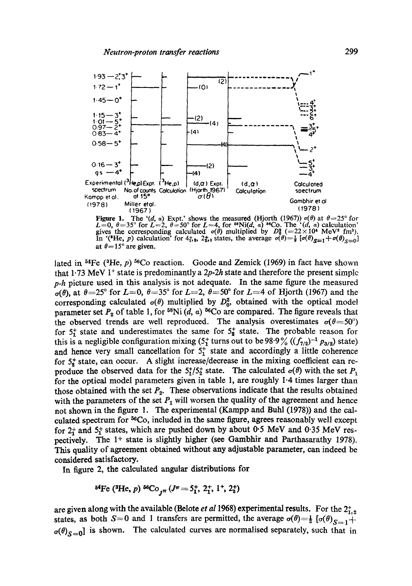

Figure 1. The '(d, a) Expt.' shows the measured (Hjorth (1967))  $\sigma(\theta)$  at  $\theta = 25^{\circ}$  for  $L=0$ ,  $\theta = 35^{\circ}$  for  $L=2$ ,  $\theta = 50^{\circ}$  for  $L=4$ , for <sup>ss</sup>Ni(d, a) <sup>so</sup>Co. The '(d, a) calculation' gives the corresponding at  $\theta = 15^{\circ}$  are given.

lated in <sup>54</sup>Fe (<sup>3</sup>He,  $p$ )<sup>56</sup>Co reaction. Goode and Zemick (1969) in fact have shown that 1.73 MeV 1<sup>+</sup> state is predominantly a 2p-2h state and therefore the present simple  $p-h$  picture used in this analysis is not adequate. In the same figure the measured  $\sigma(\theta)$ , at  $\theta = 25^{\circ}$  for  $L=0$ ,  $\theta = 35^{\circ}$  for  $L=2$ ,  $\theta = 50^{\circ}$  for  $L=4$  of Hjorth (1967) and the corresponding calculated  $\sigma(\theta)$  multiplied by  $D_0^2$ , obtained with the optical model parameter set  $P_2$  of table 1, for <sup>58</sup>Ni (d, a) <sup>56</sup>Co are compared. The figure reveals that the observed trends are well reproduced. The analysis overestimates  $\sigma(\theta = 50^{\circ})$ for  $5^+_1$  state and underestimates the same for  $5^+_2$  state. The probable reason for this is a negligible configuration mixing  $(5^+_1$  turns out to be 98.9%  $((f_{7/2})^{-1} p_{3/2})$  state) and hence very small cancellation for  $5<sub>1</sub><sup>+</sup>$  state and accordingly a little coherence for  $5\frac{1}{2}$  state, can occur. A slight increase/decrease in the mixing coefficient can reproduce the observed data for the  $5^{+}_{1}/5^{+}_{2}$  state. The calculated  $\sigma(\theta)$  with the set  $P_1$ for the optical model parameters given in table 1, are roughly 1.4 times larger than those obtained with the set  $P_2$ . These observations indicate that the results obtained with the parameters of the set  $P_1$  will worsen the quality of the agreement and hence not shown in the figure 1. The experimental (Kampp and Buhl (1978)) and the calculated spectrum for <sup>56</sup>Co, included in the same figure, agrees reasonably well except for  $2_1^+$  and  $5_1^+$  states, which are pushed down by about 0.5 MeV and 0.35 MeV respectively. The 1<sup>+</sup> state is slightly higher (see Gambhir and Parthasarathy 1978). This quality of agreement obtained without any adjustable parameter, can indeed be considered satisfactory.

In figure 2, the calculated angular distributions for

are given along with the available (Belote *et al* 1968) experimental results. For the  $2^+_{1,2}$ states, as both S=0 and 1 transfers are permitted, the average  $\sigma(\theta) = \frac{1}{2} [\sigma(\theta)_{S=1}] +$  $\sigma(\theta)_{S=0}$  is shown. The calculated curves are normalised separately, such that in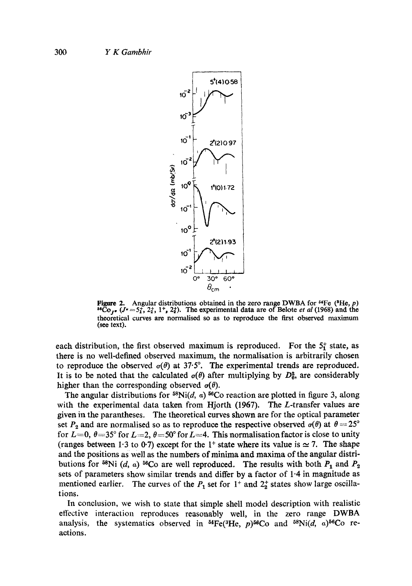

Figure 2. Angular distributions obtained in the zero range DWBA for <sup>54</sup>Fe (<sup>3</sup>He, *p*)  $^{56}$ Co<sub>*I*r</sub> (*J*<sup>r</sup> = 5<sup>*t*</sup>, 2*t*, 1<sup>*+*</sup>, 2*t*). The experimental data are of Belote *et al* (1968) and the theoretical curves are normalised so as to reproduce the first observed maximum (see text).

each distribution, the first observed maximum is reproduced. For the  $5<sub>1</sub><sup>+</sup>$  state, as there is no well-defined observed maximum, the normalisation is arbitrarily chosen to reproduce the observed  $\sigma(\theta)$  at 37.5°. The experimental trends are reproduced. It is to be noted that the calculated  $\sigma(\theta)$  after multiplying by  $D_0^2$ , are considerably higher than the corresponding observed  $\sigma(\theta)$ .

The angular distributions for  $^{58}$ Ni(d,  $\alpha$ )  $^{56}$ Co reaction are plotted in figure 3, along with the experimental data taken from Hjorth (1967). The L-transfer values are given in the parantheses. The theoretical curves shown are for the optical parameter set  $P_2$  and are normalised so as to reproduce the respective observed  $\sigma(\theta)$  at  $\theta = 25^\circ$ for  $L=0$ ,  $\theta=35^{\circ}$  for  $L=2$ ,  $\theta=50^{\circ}$  for  $L=4$ . This normalisation factor is close to unity (ranges between 1.3 to 0.7) except for the 1<sup>+</sup> state where its value is  $\simeq$  7. The shape and the positions as well as the numbers of minima and maxima of the angular distributions for  $^{58}$ Ni (d, a)  $^{56}$ Co are well reproduced. The results with both  $P_1$  and  $P_2$ sets of parameters show similar trends and differ by a factor of 1.4 in magnitude as mentioned earlier. The curves of the  $P_1$  set for  $1^+$  and  $2^+_2$  states show large oscillations.

In conclusion, we wish to state that simple shell model description with realistic effective interaction reproduces reasonably well, in the zero range DWBA analysis, the systematics observed in  $^{54}Fe(^{3}He, p)^{56}Co$  and  $^{58}Ni(d, a)^{56}Co$  reactions.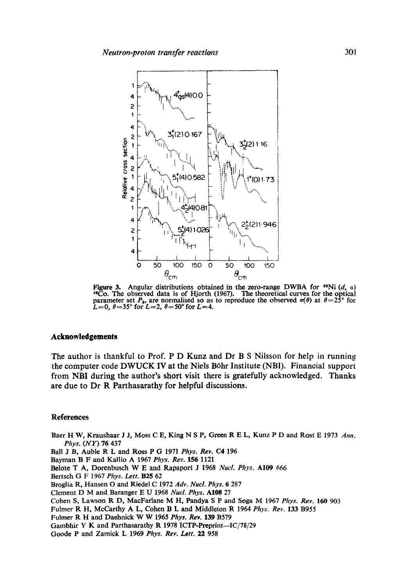

Figure 3. Angular distributions obtained in the zero-range DWBA for <sup>58</sup>Ni (d, a) <sup>66</sup>Co. The observed data is of Hjorth (1967). The theoretical curves for the optical parameter set  $P_2$ , are normalised so as to reproduce the observed  $\sigma(\theta)$  at  $\theta = 25^{\circ}$  for  $L=0$ ,  $\theta = 35^{\circ}$  for  $L=2$ ,  $\theta = 50^{\circ}$  for  $L=4$ .

## **Acknowledgements**

The author is thankful to Prof. P D Kunz and Dr B S Nilsson for help in running the computer code DWUCK IV at the Niels Böhr Institute (NBI). Financial support from NBI during the author's short visit there is gratefully acknowledged. Thanks are due to Dr R Parthasarathy for helpful discussions.

### **References**

Baer H W, Kraushaar J J, Moss C E, King N S P, Green R E L, Kunz P D and Rost E 1973 Ann. Phys. (NY) 76 437

Ball J B, Auble R L and Ross P G 1971 Phys. Rev. C4 196

Bayman B F and Kallio A 1967 Phys. Rev. 156 1121

Belote T A, Dorenbusch W E and Rapaport J 1968 Nucl. Phys. A109 666

Bertsch G F 1967 Phys. Lett. B25 62

Broglia R, Hansen O and Riedel C 1972 Adv. Nucl. Phys. 6 287

Clement D M and Baranger E U 1968 Nucl. Phys. A108 27

Cohen S, Lawson R D, MacFarlane M H, Pandya S P and Soga M 1967 Phys. Rev. 160 903

Fulmer R H, McCarthy A L, Cohen B L and Middleton R 1964 Phys. Rev. 133 B955

Fulmer R H and Daehnick W W 1965 Phys. Rev. 139 B579

Gambhir Y K and Parthasarathy R 1978 ICTP-Preprint-IC/78/29

Goode P and Zamick L 1969 Phys. Rev. Lett. 22 958